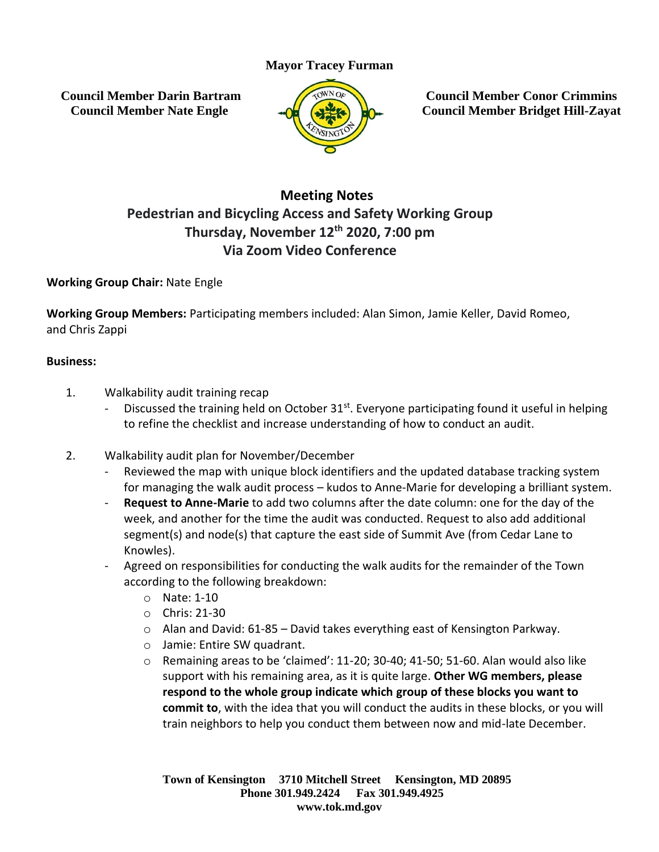# **Mayor Tracey Furman**

**Council Member Darin Bartram Council Member Nate Engle**



**Council Member Conor Crimmins Council Member Bridget Hill-Zayat**

# **Meeting Notes Pedestrian and Bicycling Access and Safety Working Group Thursday, November 12th 2020, 7:00 pm Via Zoom Video Conference**

## **Working Group Chair:** Nate Engle

**Working Group Members:** Participating members included: Alan Simon, Jamie Keller, David Romeo, and Chris Zappi

#### **Business:**

- 1. Walkability audit training recap
	- Discussed the training held on October 31<sup>st</sup>. Everyone participating found it useful in helping to refine the checklist and increase understanding of how to conduct an audit.
- 2. Walkability audit plan for November/December
	- Reviewed the map with unique block identifiers and the updated database tracking system for managing the walk audit process – kudos to Anne-Marie for developing a brilliant system.
	- **Request to Anne-Marie** to add two columns after the date column: one for the day of the week, and another for the time the audit was conducted. Request to also add additional segment(s) and node(s) that capture the east side of Summit Ave (from Cedar Lane to Knowles).
	- Agreed on responsibilities for conducting the walk audits for the remainder of the Town according to the following breakdown:
		- o Nate: 1-10
		- o Chris: 21-30
		- o Alan and David: 61-85 David takes everything east of Kensington Parkway.
		- o Jamie: Entire SW quadrant.
		- $\circ$  Remaining areas to be 'claimed': 11-20; 30-40; 41-50; 51-60. Alan would also like support with his remaining area, as it is quite large. **Other WG members, please respond to the whole group indicate which group of these blocks you want to commit to**, with the idea that you will conduct the audits in these blocks, or you will train neighbors to help you conduct them between now and mid-late December.

**Town of Kensington 3710 Mitchell Street Kensington, MD 20895 Phone 301.949.2424 Fax 301.949.4925 www.tok.md.gov**